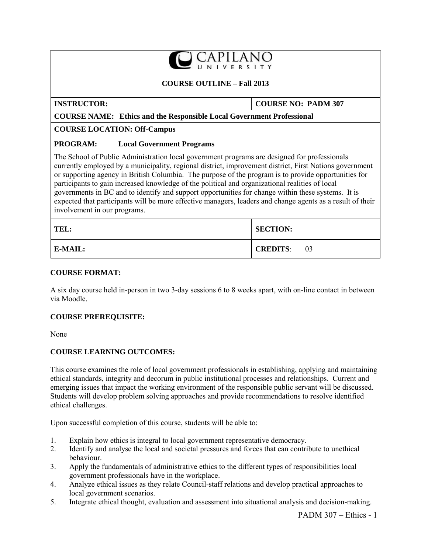## **COURSE OUTLINE – Fall 2013**

**INSTRUCTOR: COURSE NO: PADM 307**

#### **COURSE NAME: Ethics and the Responsible Local Government Professional**

### **COURSE LOCATION: Off-Campus**

## **PROGRAM: Local Government Programs**

The School of Public Administration local government programs are designed for professionals currently employed by a municipality, regional district, improvement district, First Nations government or supporting agency in British Columbia. The purpose of the program is to provide opportunities for participants to gain increased knowledge of the political and organizational realities of local governments in BC and to identify and support opportunities for change within these systems. It is expected that participants will be more effective managers, leaders and change agents as a result of their involvement in our programs.

| TEL:    | <b>SECTION:</b>       |  |  |
|---------|-----------------------|--|--|
| E-MAIL: | <b>CREDITS:</b><br>03 |  |  |

### **COURSE FORMAT:**

A six day course held in-person in two 3-day sessions 6 to 8 weeks apart, with on-line contact in between via Moodle.

### **COURSE PREREQUISITE:**

None

# **COURSE LEARNING OUTCOMES:**

This course examines the role of local government professionals in establishing, applying and maintaining ethical standards, integrity and decorum in public institutional processes and relationships. Current and emerging issues that impact the working environment of the responsible public servant will be discussed. Students will develop problem solving approaches and provide recommendations to resolve identified ethical challenges.

Upon successful completion of this course, students will be able to:

- 1. Explain how ethics is integral to local government representative democracy.<br>2. Identify and analyse the local and societal pressures and forces that can contri
- Identify and analyse the local and societal pressures and forces that can contribute to unethical behaviour.
- 3. Apply the fundamentals of administrative ethics to the different types of responsibilities local government professionals have in the workplace.
- 4. Analyze ethical issues as they relate Council-staff relations and develop practical approaches to local government scenarios.
- 5. Integrate ethical thought, evaluation and assessment into situational analysis and decision-making.

PADM 307 – Ethics - 1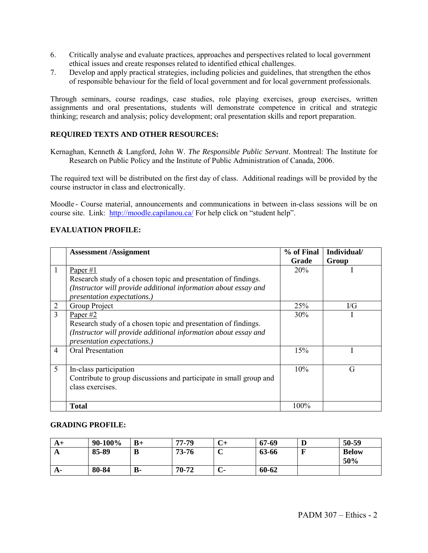- 6. Critically analyse and evaluate practices, approaches and perspectives related to local government ethical issues and create responses related to identified ethical challenges.
- 7. Develop and apply practical strategies, including policies and guidelines, that strengthen the ethos of responsible behaviour for the field of local government and for local government professionals.

Through seminars, course readings, case studies, role playing exercises, group exercises, written assignments and oral presentations, students will demonstrate competence in critical and strategic thinking; research and analysis; policy development; oral presentation skills and report preparation.

# **REQUIRED TEXTS AND OTHER RESOURCES:**

Kernaghan, Kenneth & Langford, John W. *The Responsible Public Servant*. Montreal: The Institute for Research on Public Policy and the Institute of Public Administration of Canada, 2006.

The required text will be distributed on the first day of class. Additional readings will be provided by the course instructor in class and electronically.

Moodle - Course material, announcements and communications in between in-class sessions will be on course site. Link: <http://moodle.capilanou.ca/> For help click on "student help".

# **EVALUATION PROFILE:**

|                | <b>Assessment /Assignment</b>                                      | % of Final | Individual/  |
|----------------|--------------------------------------------------------------------|------------|--------------|
|                |                                                                    | Grade      | Group        |
| 1              | Paper $#1$                                                         | 20%        |              |
|                | Research study of a chosen topic and presentation of findings.     |            |              |
|                | (Instructor will provide additional information about essay and    |            |              |
|                | <i>presentation expectations.)</i>                                 |            |              |
| $\overline{2}$ | Group Project                                                      | 25%        | $\rm U\rm G$ |
| 3              | Paper #2                                                           | 30%        |              |
|                | Research study of a chosen topic and presentation of findings.     |            |              |
|                | (Instructor will provide additional information about essay and    |            |              |
|                | presentation expectations.)                                        |            |              |
| $\overline{4}$ | <b>Oral Presentation</b>                                           | 15%        |              |
|                |                                                                    |            |              |
| 5              | In-class participation                                             | 10%        | G            |
|                | Contribute to group discussions and participate in small group and |            |              |
|                | class exercises.                                                   |            |              |
|                |                                                                    |            |              |
|                | <b>Total</b>                                                       | 100%       |              |

### **GRADING PROFILE:**

| A+        | 90-100% | $B+$      | 77-79 | ◡┐          | 67-69 | D | 50-59               |
|-----------|---------|-----------|-------|-------------|-------|---|---------------------|
| A         | 85-89   | D         | 73-76 | $\sim$<br>֊ | 63-66 |   | <b>Below</b><br>50% |
| <b>A-</b> | 80-84   | <b>B-</b> | 70-72 | ◡           | 60-62 |   |                     |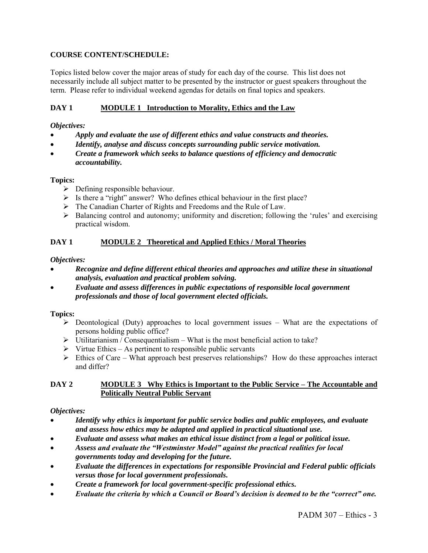# **COURSE CONTENT/SCHEDULE:**

Topics listed below cover the major areas of study for each day of the course. This list does not necessarily include all subject matter to be presented by the instructor or guest speakers throughout the term. Please refer to individual weekend agendas for details on final topics and speakers.

# **DAY 1 MODULE 1 Introduction to Morality, Ethics and the Law**

## *Objectives:*

- *Apply and evaluate the use of different ethics and value constructs and theories.*
- *Identify, analyse and discuss concepts surrounding public service motivation.*
- *Create a framework which seeks to balance questions of efficiency and democratic accountability.*

## **Topics:**

- $\triangleright$  Defining responsible behaviour.
- $\triangleright$  Is there a "right" answer? Who defines ethical behaviour in the first place?
- $\triangleright$  The Canadian Charter of Rights and Freedoms and the Rule of Law.
- $\triangleright$  Balancing control and autonomy; uniformity and discretion; following the 'rules' and exercising practical wisdom.

# **DAY 1 MODULE 2 Theoretical and Applied Ethics / Moral Theories**

## *Objectives:*

- *Recognize and define different ethical theories and approaches and utilize these in situational analysis, evaluation and practical problem solving.*
- *Evaluate and assess differences in public expectations of responsible local government professionals and those of local government elected officials.*

# **Topics:**

- $\triangleright$  Deontological (Duty) approaches to local government issues What are the expectations of persons holding public office?
- $\triangleright$  Utilitarianism / Consequentialism What is the most beneficial action to take?
- $\triangleright$  Virtue Ethics As pertinent to responsible public servants
- $\triangleright$  Ethics of Care What approach best preserves relationships? How do these approaches interact and differ?

## **DAY 2 MODULE 3 Why Ethics is Important to the Public Service – The Accountable and Politically Neutral Public Servant**

# *Objectives:*

- *Identify why ethics is important for public service bodies and public employees, and evaluate and assess how ethics may be adapted and applied in practical situational use.*
- *Evaluate and assess what makes an ethical issue distinct from a legal or political issue.*
- *Assess and evaluate the "Westminster Model" against the practical realities for local governments today and developing for the future.*
- *Evaluate the differences in expectations for responsible Provincial and Federal public officials versus those for local government professionals.*
- *Create a framework for local government-specific professional ethics.*
- *Evaluate the criteria by which a Council or Board"s decision is deemed to be the "correct" one.*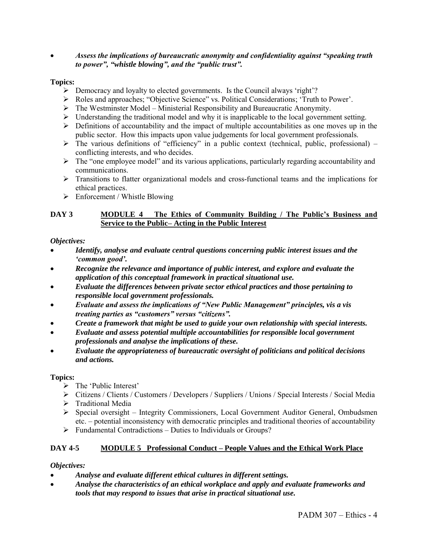## *Assess the implications of bureaucratic anonymity and confidentiality against "speaking truth to power", "whistle blowing", and the "public trust".*

## **Topics:**

- $\triangleright$  Democracy and loyalty to elected governments. Is the Council always 'right'?
- Roles and approaches; "Objective Science" vs. Political Considerations; "Truth to Power".
- $\triangleright$  The Westminster Model Ministerial Responsibility and Bureaucratic Anonymity.
- $\triangleright$  Understanding the traditional model and why it is inapplicable to the local government setting.
- $\triangleright$  Definitions of accountability and the impact of multiple accountabilities as one moves up in the public sector. How this impacts upon value judgements for local government professionals.
- $\triangleright$  The various definitions of "efficiency" in a public context (technical, public, professional) conflicting interests, and who decides.
- $\triangleright$  The "one employee model" and its various applications, particularly regarding accountability and communications.
- $\triangleright$  Transitions to flatter organizational models and cross-functional teams and the implications for ethical practices.
- $\triangleright$  Enforcement / Whistle Blowing

## **DAY 3 MODULE 4 The Ethics of Community Building / The Public's Business and Service to the Public– Acting in the Public Interest**

### *Objectives:*

- *Identify, analyse and evaluate central questions concerning public interest issues and the "common good".*
- *Recognize the relevance and importance of public interest, and explore and evaluate the application of this conceptual framework in practical situational use.*
- *Evaluate the differences between private sector ethical practices and those pertaining to responsible local government professionals.*
- *Evaluate and assess the implications of "New Public Management" principles, vis a vis treating parties as "customers" versus "citizens".*
- *Create a framework that might be used to guide your own relationship with special interests.*
- *Evaluate and assess potential multiple accountabilities for responsible local government professionals and analyse the implications of these.*
- *Evaluate the appropriateness of bureaucratic oversight of politicians and political decisions and actions.*

### **Topics:**

- $\triangleright$  The 'Public Interest'
- Citizens / Clients / Customers / Developers / Suppliers / Unions / Special Interests / Social Media
- $\triangleright$  Traditional Media
- $\triangleright$  Special oversight Integrity Commissioners, Local Government Auditor General, Ombudsmen etc. – potential inconsistency with democratic principles and traditional theories of accountability
- $\triangleright$  Fundamental Contradictions Duties to Individuals or Groups?

# **DAY 4-5 MODULE 5 Professional Conduct – People Values and the Ethical Work Place**

# *Objectives:*

- *Analyse and evaluate different ethical cultures in different settings.*
- *Analyse the characteristics of an ethical workplace and apply and evaluate frameworks and tools that may respond to issues that arise in practical situational use.*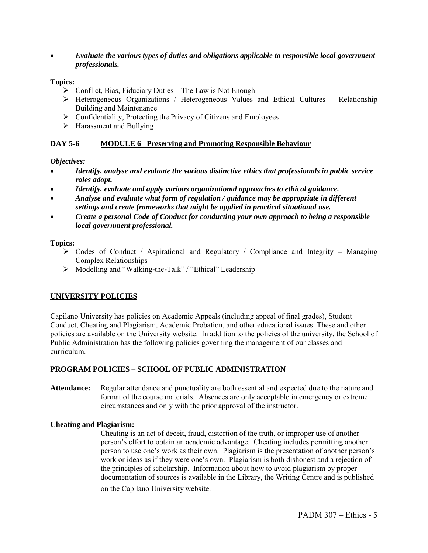*Evaluate the various types of duties and obligations applicable to responsible local government professionals.* 

#### **Topics:**

- $\triangleright$  Conflict, Bias, Fiduciary Duties The Law is Not Enough
- Heterogeneous Organizations / Heterogeneous Values and Ethical Cultures Relationship Building and Maintenance
- $\triangleright$  Confidentiality, Protecting the Privacy of Citizens and Employees
- $\triangleright$  Harassment and Bullying

#### **DAY 5-6 MODULE 6 Preserving and Promoting Responsible Behaviour**

#### *Objectives:*

- *Identify, analyse and evaluate the various distinctive ethics that professionals in public service roles adopt.*
- *Identify, evaluate and apply various organizational approaches to ethical guidance.*
- *Analyse and evaluate what form of regulation / guidance may be appropriate in different settings and create frameworks that might be applied in practical situational use.*
- *Create a personal Code of Conduct for conducting your own approach to being a responsible local government professional.*

#### **Topics:**

- $\triangleright$  Codes of Conduct / Aspirational and Regulatory / Compliance and Integrity Managing Complex Relationships
- $\triangleright$  Modelling and "Walking-the-Talk" / "Ethical" Leadership

### **UNIVERSITY POLICIES**

Capilano University has policies on Academic Appeals (including appeal of final grades), Student Conduct, Cheating and Plagiarism, Academic Probation, and other educational issues. These and other policies are available on the University website. In addition to the policies of the university, the School of Public Administration has the following policies governing the management of our classes and curriculum.

### **PROGRAM POLICIES – SCHOOL OF PUBLIC ADMINISTRATION**

**Attendance:** Regular attendance and punctuality are both essential and expected due to the nature and format of the course materials. Absences are only acceptable in emergency or extreme circumstances and only with the prior approval of the instructor.

#### **Cheating and Plagiarism:**

Cheating is an act of deceit, fraud, distortion of the truth, or improper use of another person"s effort to obtain an academic advantage. Cheating includes permitting another person to use one"s work as their own. Plagiarism is the presentation of another person"s work or ideas as if they were one"s own. Plagiarism is both dishonest and a rejection of the principles of scholarship. Information about how to avoid plagiarism by proper documentation of sources is available in the Library, the Writing Centre and is published

on the Capilano University website.